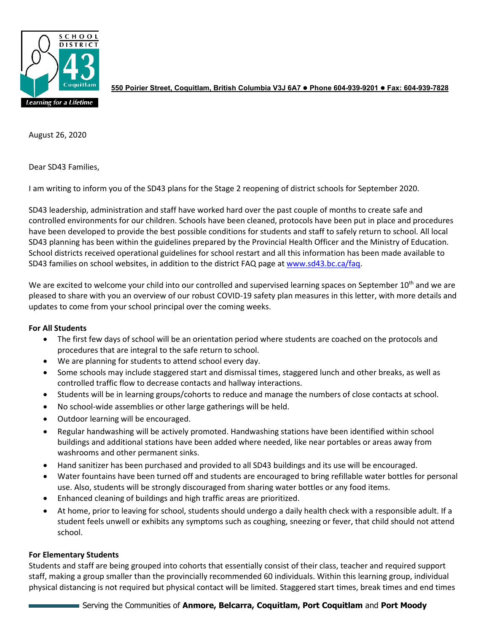

**550 Poirier Street, Coquitlam, British Columbia V3J 6A7 Phone 604-939-9201 Fax: 604-939-7828**

August 26, 2020

Dear SD43 Families,

I am writing to inform you of the SD43 plans for the Stage 2 reopening of district schools for September 2020.

SD43 leadership, administration and staff have worked hard over the past couple of months to create safe and controlled environments for our children. Schools have been cleaned, protocols have been put in place and procedures have been developed to provide the best possible conditions for students and staff to safely return to school. All local SD43 planning has been within the guidelines prepared by the Provincial Health Officer and the Ministry of Education. School districts received operational guidelines for school restart and all this information has been made available to SD43 families on school websites, in addition to the district FAQ page at [www.sd43.bc.ca/faq.](http://www.sd43.bc.ca/faq)

We are excited to welcome your child into our controlled and supervised learning spaces on September 10<sup>th</sup> and we are pleased to share with you an overview of our robust COVID-19 safety plan measures in this letter, with more details and updates to come from your school principal over the coming weeks.

# **For All Students**

- The first few days of school will be an orientation period where students are coached on the protocols and procedures that are integral to the safe return to school.
- We are planning for students to attend school every day.
- Some schools may include staggered start and dismissal times, staggered lunch and other breaks, as well as controlled traffic flow to decrease contacts and hallway interactions.
- Students will be in learning groups/cohorts to reduce and manage the numbers of close contacts at school.
- No school-wide assemblies or other large gatherings will be held.
- Outdoor learning will be encouraged.
- Regular handwashing will be actively promoted. Handwashing stations have been identified within school buildings and additional stations have been added where needed, like near portables or areas away from washrooms and other permanent sinks.
- Hand sanitizer has been purchased and provided to all SD43 buildings and its use will be encouraged.
- Water fountains have been turned off and students are encouraged to bring refillable water bottles for personal use. Also, students will be strongly discouraged from sharing water bottles or any food items.
- Enhanced cleaning of buildings and high traffic areas are prioritized.
- At home, prior to leaving for school, students should undergo a daily health check with a responsible adult. If a student feels unwell or exhibits any symptoms such as coughing, sneezing or fever, that child should not attend school.

# **For Elementary Students**

Students and staff are being grouped into cohorts that essentially consist of their class, teacher and required support staff, making a group smaller than the provincially recommended 60 individuals. Within this learning group, individual physical distancing is not required but physical contact will be limited. Staggered start times, break times and end times